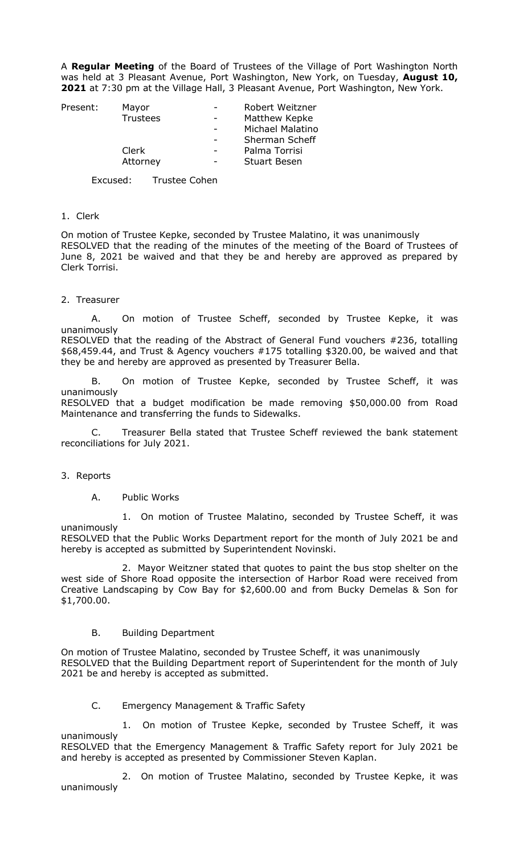A **Regular Meeting** of the Board of Trustees of the Village of Port Washington North was held at 3 Pleasant Avenue, Port Washington, New York, on Tuesday, **August 10, 2021** at 7:30 pm at the Village Hall, 3 Pleasant Avenue, Port Washington, New York.

| Present: | Mayor    | Robert Weitzner       |
|----------|----------|-----------------------|
|          | Trustees | Matthew Kepke         |
|          |          | Michael Malatino      |
|          |          | <b>Sherman Scheff</b> |
|          | Clerk    | Palma Torrisi         |
|          | Attorney | <b>Stuart Besen</b>   |
|          |          |                       |

Excused: Trustee Cohen

#### 1. Clerk

On motion of Trustee Kepke, seconded by Trustee Malatino, it was unanimously RESOLVED that the reading of the minutes of the meeting of the Board of Trustees of June 8, 2021 be waived and that they be and hereby are approved as prepared by Clerk Torrisi.

#### 2. Treasurer

A. On motion of Trustee Scheff, seconded by Trustee Kepke, it was unanimously RESOLVED that the reading of the Abstract of General Fund vouchers #236, totalling \$68,459.44, and Trust & Agency vouchers #175 totalling \$320.00, be waived and that

they be and hereby are approved as presented by Treasurer Bella.

On motion of Trustee Kepke, seconded by Trustee Scheff, it was unanimously

RESOLVED that a budget modification be made removing \$50,000.00 from Road Maintenance and transferring the funds to Sidewalks.

Treasurer Bella stated that Trustee Scheff reviewed the bank statement reconciliations for July 2021.

#### 3. Reports

A. Public Works

1. On motion of Trustee Malatino, seconded by Trustee Scheff, it was unanimously

RESOLVED that the Public Works Department report for the month of July 2021 be and hereby is accepted as submitted by Superintendent Novinski.

2. Mayor Weitzner stated that quotes to paint the bus stop shelter on the west side of Shore Road opposite the intersection of Harbor Road were received from Creative Landscaping by Cow Bay for \$2,600.00 and from Bucky Demelas & Son for \$1,700.00.

#### B. Building Department

On motion of Trustee Malatino, seconded by Trustee Scheff, it was unanimously RESOLVED that the Building Department report of Superintendent for the month of July 2021 be and hereby is accepted as submitted.

### C. Emergency Management & Traffic Safety

1. On motion of Trustee Kepke, seconded by Trustee Scheff, it was unanimously RESOLVED that the Emergency Management & Traffic Safety report for July 2021 be and hereby is accepted as presented by Commissioner Steven Kaplan.

2. On motion of Trustee Malatino, seconded by Trustee Kepke, it was unanimously